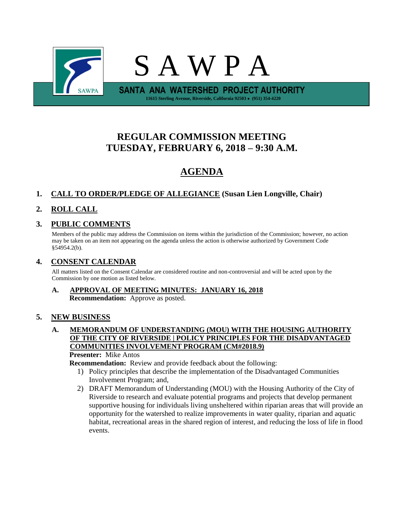

# **REGULAR COMMISSION MEETING TUESDAY, FEBRUARY 6, 2018 – 9:30 A.M.**

# **AGENDA**

# **1. CALL TO ORDER/PLEDGE OF ALLEGIANCE (Susan Lien Longville, Chair)**

# **2. ROLL CALL**

## **3. PUBLIC COMMENTS**

Members of the public may address the Commission on items within the jurisdiction of the Commission; however, no action may be taken on an item not appearing on the agenda unless the action is otherwise authorized by Government Code §54954.2(b).

## **4. CONSENT CALENDAR**

All matters listed on the Consent Calendar are considered routine and non-controversial and will be acted upon by the Commission by one motion as listed below.

## **A. APPROVAL OF MEETING MINUTES: JANUARY 16, 2018 Recommendation:** Approve as posted.

## **5. NEW BUSINESS**

## **A. MEMORANDUM OF UNDERSTANDING (MOU) WITH THE HOUSING AUTHORITY OF THE CITY OF RIVERSIDE | POLICY PRINCIPLES FOR THE DISADVANTAGED COMMUNITIES INVOLVEMENT PROGRAM (CM#2018.9)**

**Presenter:** Mike Antos

**Recommendation:** Review and provide feedback about the following:

- 1) Policy principles that describe the implementation of the Disadvantaged Communities Involvement Program; and,
- 2) DRAFT Memorandum of Understanding (MOU) with the Housing Authority of the City of Riverside to research and evaluate potential programs and projects that develop permanent supportive housing for individuals living unsheltered within riparian areas that will provide an opportunity for the watershed to realize improvements in water quality, riparian and aquatic habitat, recreational areas in the shared region of interest, and reducing the loss of life in flood events.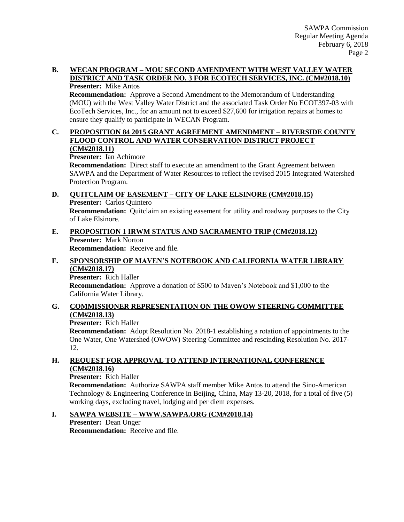#### **B. WECAN PROGRAM – MOU SECOND AMENDMENT WITH WEST VALLEY WATER DISTRICT AND TASK ORDER NO. 3 FOR ECOTECH SERVICES, INC. (CM#2018.10) Presenter:** Mike Antos

**Recommendation:** Approve a Second Amendment to the Memorandum of Understanding (MOU) with the West Valley Water District and the associated Task Order No ECOT397-03 with EcoTech Services, Inc., for an amount not to exceed \$27,600 for irrigation repairs at homes to ensure they qualify to participate in WECAN Program.

#### **C. PROPOSITION 84 2015 GRANT AGREEMENT AMENDMENT – RIVERSIDE COUNTY FLOOD CONTROL AND WATER CONSERVATION DISTRICT PROJECT (CM#2018.11)**

**Presenter:** Ian Achimore

**Recommendation:** Direct staff to execute an amendment to the Grant Agreement between SAWPA and the Department of Water Resources to reflect the revised 2015 Integrated Watershed Protection Program.

## **D. QUITCLAIM OF EASEMENT – CITY OF LAKE ELSINORE (CM#2018.15)**

**Presenter:** Carlos Quintero

**Recommendation:** Quitclaim an existing easement for utility and roadway purposes to the City of Lake Elsinore.

# **E. PROPOSITION 1 IRWM STATUS AND SACRAMENTO TRIP (CM#2018.12) Presenter:** Mark Norton

**Recommendation:** Receive and file.

## **F. SPONSORSHIP OF MAVEN'S NOTEBOOK AND CALIFORNIA WATER LIBRARY (CM#2018.17)**

**Presenter:** Rich Haller

**Recommendation:** Approve a donation of \$500 to Maven's Notebook and \$1,000 to the California Water Library.

## **G. COMMISSIONER REPRESENTATION ON THE OWOW STEERING COMMITTEE (CM#2018.13)**

## **Presenter:** Rich Haller

**Recommendation:** Adopt Resolution No. 2018-1 establishing a rotation of appointments to the One Water, One Watershed (OWOW) Steering Committee and rescinding Resolution No. 2017- 12.

## **H. REQUEST FOR APPROVAL TO ATTEND INTERNATIONAL CONFERENCE (CM#2018.16)**

## **Presenter:** Rich Haller

**Recommendation:** Authorize SAWPA staff member Mike Antos to attend the Sino-American Technology & Engineering Conference in Beijing, China, May 13-20, 2018, for a total of five (5) working days, excluding travel, lodging and per diem expenses.

## **I. SAWPA WEBSITE – WWW.SAWPA.ORG (CM#2018.14)**

**Presenter:** Dean Unger **Recommendation:** Receive and file.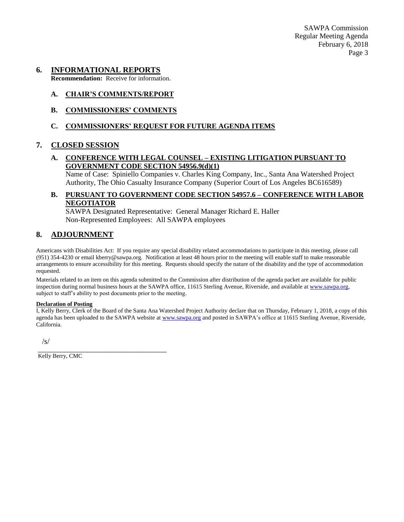SAWPA Commission Regular Meeting Agenda February 6, 2018 Page 3

#### **6. INFORMATIONAL REPORTS**

**Recommendation:** Receive for information.

#### **A. CHAIR'S COMMENTS/REPORT**

**B. COMMISSIONERS' COMMENTS**

#### **C. COMMISSIONERS' REQUEST FOR FUTURE AGENDA ITEMS**

#### **7. CLOSED SESSION**

### **A. CONFERENCE WITH LEGAL COUNSEL – EXISTING LITIGATION PURSUANT TO GOVERNMENT CODE SECTION 54956.9(d)(1)**

Name of Case: Spiniello Companies v. Charles King Company, Inc., Santa Ana Watershed Project Authority, The Ohio Casualty Insurance Company (Superior Court of Los Angeles BC616589)

#### **B. PURSUANT TO GOVERNMENT CODE SECTION 54957.6 – CONFERENCE WITH LABOR NEGOTIATOR**

SAWPA Designated Representative: General Manager Richard E. Haller Non-Represented Employees: All SAWPA employees

## **8. ADJOURNMENT**

Americans with Disabilities Act: If you require any special disability related accommodations to participate in this meeting, please call (951) 354-4230 or email kberry@sawpa.org. Notification at least 48 hours prior to the meeting will enable staff to make reasonable arrangements to ensure accessibility for this meeting. Requests should specify the nature of the disability and the type of accommodation requested.

Materials related to an item on this agenda submitted to the Commission after distribution of the agenda packet are available for public inspection during normal business hours at the SAWPA office, 11615 Sterling Avenue, Riverside, and available a[t www.sawpa.org,](http://www.sawpa.org/) subject to staff's ability to post documents prior to the meeting.

#### **Declaration of Posting**

I, Kelly Berry, Clerk of the Board of the Santa Ana Watershed Project Authority declare that on Thursday, February 1, 2018, a copy of this agenda has been uploaded to the SAWPA website at [www.sawpa.org](http://www.sawpa.org/) and posted in SAWPA's office at 11615 Sterling Avenue, Riverside, California.

/s/

Kelly Berry, CMC

\_\_\_\_\_\_\_\_\_\_\_\_\_\_\_\_\_\_\_\_\_\_\_\_\_\_\_\_\_\_\_\_\_\_\_\_\_\_\_